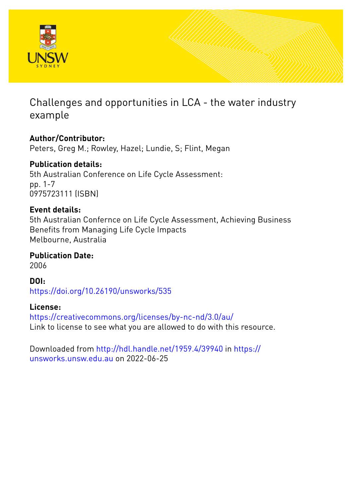

# Challenges and opportunities in LCA - the water industry example

### **Author/Contributor:**

Peters, Greg M.; Rowley, Hazel; Lundie, S; Flint, Megan

## **Publication details:**

5th Australian Conference on Life Cycle Assessment: pp. 1-7 0975723111 (ISBN)

### **Event details:**

5th Australian Confernce on Life Cycle Assessment, Achieving Business Benefits from Managing Life Cycle Impacts Melbourne, Australia

### **Publication Date:**

2006

**DOI:** [https://doi.org/10.26190/unsworks/535](http://dx.doi.org/https://doi.org/10.26190/unsworks/535)

### **License:**

<https://creativecommons.org/licenses/by-nc-nd/3.0/au/> Link to license to see what you are allowed to do with this resource.

Downloaded from <http://hdl.handle.net/1959.4/39940> in [https://](https://unsworks.unsw.edu.au) [unsworks.unsw.edu.au](https://unsworks.unsw.edu.au) on 2022-06-25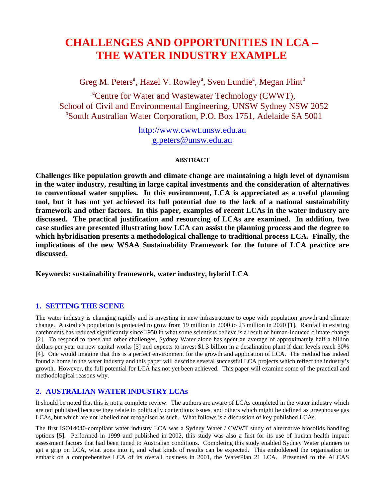# **CHALLENGES AND OPPORTUNITIES IN LCA – THE WATER INDUSTRY EXAMPLE**

Greg M. Peters<sup>a</sup>, Hazel V. Rowley<sup>a</sup>, Sven Lundie<sup>a</sup>, Megan Flint<sup>b</sup>

<sup>a</sup>Centre for Water and Wastewater Technology (CWWT), School of Civil and Environmental Engineering, UNSW Sydney NSW 2052 b South Australian Water Corporation, P.O. Box 1751, Adelaide SA 5001

> http://www.cwwt.unsw.edu.au g.peter[s@unsw.edu.au](mailto:Tim.Grant@rmit.edu.au)

#### **ABSTRACT**

**Challenges like population growth and climate change are maintaining a high level of dynamism in the water industry, resulting in large capital investments and the consideration of alternatives to conventional water supplies. In this environment, LCA is appreciated as a useful planning tool, but it has not yet achieved its full potential due to the lack of a national sustainability framework and other factors. In this paper, examples of recent LCAs in the water industry are discussed. The practical justification and resourcing of LCAs are examined. In addition, two case studies are presented illustrating how LCA can assist the planning process and the degree to which hybridisation presents a methodological challenge to traditional process LCA. Finally, the implications of the new WSAA Sustainability Framework for the future of LCA practice are discussed.** 

**Keywords: sustainability framework, water industry, hybrid LCA** 

#### **1. SETTING THE SCENE**

The water industry is changing rapidly and is investing in new infrastructure to cope with population growth and climate change. Australia's population is projected to grow from 19 million in 2000 to 23 million in 2020 [1]. Rainfall in existing catchments has reduced significantly since 1950 in what some scientists believe is a result of human-induced climate change [2]. To respond to these and other challenges, Sydney Water alone has spent an average of approximately half a billion dollars per year on new capital works [3] and expects to invest \$1.3 billion in a desalination plant if dam levels reach 30% [4]. One would imagine that this is a perfect environment for the growth and application of LCA. The method has indeed found a home in the water industry and this paper will describe several successful LCA projects which reflect the industry's growth. However, the full potential for LCA has not yet been achieved. This paper will examine some of the practical and methodological reasons why.

#### **2. AUSTRALIAN WATER INDUSTRY LCAs**

It should be noted that this is not a complete review. The authors are aware of LCAs completed in the water industry which are not published because they relate to politically contentious issues, and others which might be defined as greenhouse gas LCAs, but which are not labelled nor recognised as such. What follows is a discussion of key published LCAs.

The first ISO14040-compliant water industry LCA was a Sydney Water / CWWT study of alternative biosolids handling options [5]. Performed in 1999 and published in 2002, this study was also a first for its use of human health impact assessment factors that had been tuned to Australian conditions. Completing this study enabled Sydney Water planners to get a grip on LCA, what goes into it, and what kinds of results can be expected. This emboldened the organisation to embark on a comprehensive LCA of its overall business in 2001, the WaterPlan 21 LCA. Presented to the ALCAS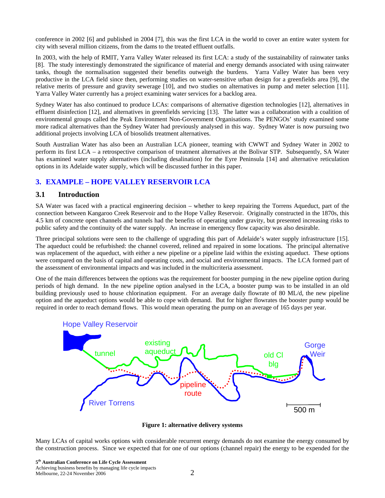conference in 2002 [6] and published in 2004 [7], this was the first LCA in the world to cover an entire water system for city with several million citizens, from the dams to the treated effluent outfalls.

In 2003, with the help of RMIT, Yarra Valley Water released its first LCA: a study of the sustainability of rainwater tanks [8]. The study interestingly demonstrated the significance of material and energy demands associated with using rainwater tanks, though the normalisation suggested their benefits outweigh the burdens. Yarra Valley Water has been very productive in the LCA field since then, performing studies on water-sensitive urban design for a greenfields area [9], the relative merits of pressure and gravity sewerage [10], and two studies on alternatives in pump and meter selection [11]. Yarra Valley Water currently has a project examining water services for a backlog area.

Sydney Water has also continued to produce LCAs: comparisons of alternative digestion technologies [12], alternatives in effluent disinfection [12], and alternatives in greenfields servicing [13]. The latter was a collaboration with a coalition of environmental groups called the Peak Environment Non-Government Organisations. The PENGOs' study examined some more radical alternatives than the Sydney Water had previously analysed in this way. Sydney Water is now pursuing two additional projects involving LCA of biosolids treatment alternatives.

South Australian Water has also been an Australian LCA pioneer, teaming with CWWT and Sydney Water in 2002 to perform its first LCA – a retrospective comparison of treatment alternatives at the Bolivar STP. Subsequently, SA Water has examined water supply alternatives (including desalination) for the Eyre Peninsula [14] and alternative reticulation options in its Adelaide water supply, which will be discussed further in this paper.

#### **3. EXAMPLE – HOPE VALLEY RESERVOIR LCA**

#### **3.1 Introduction**

SA Water was faced with a practical engineering decision – whether to keep repairing the Torrens Aqueduct, part of the connection between Kangaroo Creek Reservoir and to the Hope Valley Reservoir. Originally constructed in the 1870s, this 4.5 km of concrete open channels and tunnels had the benefits of operating under gravity, but presented increasing risks to public safety and the continuity of the water supply. An increase in emergency flow capacity was also desirable.

Three principal solutions were seen to the challenge of upgrading this part of Adelaide's water supply infrastructure [15]. The aqueduct could be refurbished: the channel covered, relined and repaired in some locations. The principal alternative was replacement of the aqueduct, with either a new pipeline or a pipeline laid within the existing aqueduct. These options were compared on the basis of capital and operating costs, and social and environmental impacts. The LCA formed part of the assessment of environmental impacts and was included in the multicriteria assessment.

One of the main differences between the options was the requirement for booster pumping in the new pipeline option during periods of high demand. In the new pipeline option analysed in the LCA, a booster pump was to be installed in an old building previously used to house chlorination equipment. For an average daily flowrate of 80 ML/d, the new pipeline option and the aqueduct options would be able to cope with demand. But for higher flowrates the booster pump would be required in order to reach demand flows. This would mean operating the pump on an average of 165 days per year.



**Figure 1: alternative delivery systems** 

Many LCAs of capital works options with considerable recurrent energy demands do not examine the energy consumed by the construction process. Since we expected that for one of our options (channel repair) the energy to be expended for the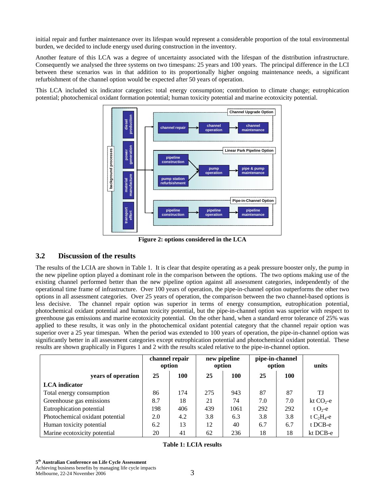initial repair and further maintenance over its lifespan would represent a considerable proportion of the total environmental burden, we decided to include energy used during construction in the inventory.

Another feature of this LCA was a degree of uncertainty associated with the lifespan of the distribution infrastructure. Consequently we analysed the three systems on two timespans: 25 years and 100 years. The principal difference in the LCI between these scenarios was in that addition to its proportionally higher ongoing maintenance needs, a significant refurbishment of the channel option would be expected after 50 years of operation.

This LCA included six indicator categories: total energy consumption; contribution to climate change; eutrophication potential; photochemical oxidant formation potential; human toxicity potential and marine ecotoxicity potential.



**Figure 2: options considered in the LCA** 

#### **3.2 Discussion of the results**

The results of the LCIA are shown in [Table 1.](#page-3-0) It is clear that despite operating as a peak pressure booster only, the pump in the new pipeline option played a dominant role in the comparison between the options. The two options making use of the existing channel performed better than the new pipeline option against all assessment categories, independently of the operational time frame of infrastructure. Over 100 years of operation, the pipe-in-channel option outperforms the other two options in all assessment categories. Over 25 years of operation, the comparison between the two channel-based options is less decisive. The channel repair option was superior in terms of energy consumption, eutrophication potential, photochemical oxidant potential and human toxicity potential, but the pipe-in-channel option was superior with respect to greenhouse gas emissions and marine ecotoxicity potential. On the other hand, when a standard error tolerance of 25% was applied to these results, it was only in the photochemical oxidant potential category that the channel repair option was superior over a 25 year timespan. When the period was extended to 100 years of operation, the pipe-in-channel option was significantly better in all assessment categories except eutrophication potential and photochemical oxidant potential. These results are shown graphically in Figures 1 and 2 with the results scaled relative to the pipe-in-channel option.

<span id="page-3-0"></span>

|                                 | channel repair<br>option |     | new pipeline<br>option |      | pipe-in-channel<br>option |            | units         |
|---------------------------------|--------------------------|-----|------------------------|------|---------------------------|------------|---------------|
| years of operation              | 25                       | 100 | 25                     | 100  | 25                        | <b>100</b> |               |
| <b>LCA</b> indicator            |                          |     |                        |      |                           |            |               |
| Total energy consumption        | 86                       | 174 | 275                    | 943  | 87                        | 87         | TJ            |
| Greenhouse gas emissions        | 8.7                      | 18  | 21                     | 74   | 7.0                       | 7.0        | kt $CO2$ -e   |
| Eutrophication potential        | 198                      | 406 | 439                    | 1061 | 292                       | 292        | t $O_2$ -e    |
| Photochemical oxidant potential | 2.0                      | 4.2 | 3.8                    | 6.3  | 3.8                       | 3.8        | t $C_2H_4$ -e |
| Human toxicity potential        | 6.2                      | 13  | 12                     | 40   | 6.7                       | 6.7        | t DCB-e       |
| Marine ecotoxicity potential    | 20                       | 41  | 62                     | 236  | 18                        | 18         | kt DCB-e      |

#### **Table 1: LCIA results**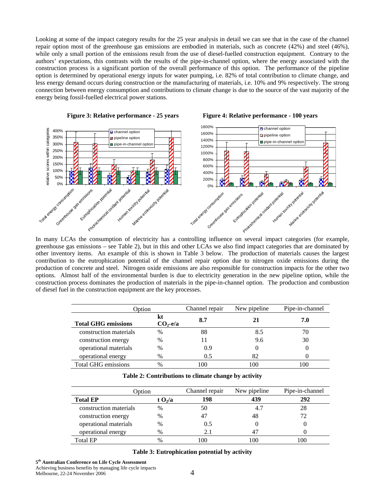Looking at some of the impact category results for the 25 year analysis in detail we can see that in the case of the channel repair option most of the greenhouse gas emissions are embodied in materials, such as concrete (42%) and steel (46%), while only a small portion of the emissions result from the use of diesel-fuelled construction equipment. Contrary to the authors' expectations, this contrasts with the results of the pipe-in-channel option, where the energy associated with the construction process is a significant portion of the overall performance of this option. The performance of the pipeline option is determined by operational energy inputs for water pumping, i.e. 82% of total contribution to climate change, and less energy demand occurs during construction or the manufacturing of materials, i.e. 10% and 9% respectively. The strong connection between energy consumption and contributions to climate change is due to the source of the vast majority of the energy being fossil-fuelled electrical power stations.



In many LCAs the consumption of electricity has a controlling influence on several impact categories (for example, greenhouse gas emissions – see [Table 2\)](#page-4-0), but in this and other LCAs we also find impact categories that are dominated by other inventory items. An example of this is shown in [Table 3](#page-4-1) below. The production of materials causes the largest contribution to the eutrophication potential of the channel repair option due to nitrogen oxide emissions during the production of concrete and steel. Nitrogen oxide emissions are also responsible for construction impacts for the other two options. Almost half of the environmental burden is due to electricity generation in the new pipeline option, while the construction process dominates the production of materials in the pipe-in-channel option. The production and combustion of diesel fuel in the construction equipment are the key processes.

| Option                     |                  | Channel repair | New pipeline | Pipe-in-channel |  |
|----------------------------|------------------|----------------|--------------|-----------------|--|
| <b>Total GHG emissions</b> | kt<br>$CO2$ -e/a | 8.7            |              | 7.0             |  |
| construction materials     | $\frac{0}{0}$    | 88             | 8.5          | 70              |  |
| construction energy        | $\frac{0}{0}$    | 11             | 9.6          | 30              |  |
| operational materials      | $\frac{0}{0}$    | 0.9            |              |                 |  |
| operational energy         | $\frac{0}{0}$    | 0.5            | 82           |                 |  |
| Total GHG emissions        | $\frac{0}{0}$    | 100            | 100          | 100             |  |

<span id="page-4-1"></span><span id="page-4-0"></span>

| Option                 |          | Channel repair | New pipeline | Pipe-in-channel |  |
|------------------------|----------|----------------|--------------|-----------------|--|
| <b>Total EP</b>        | t $O2/a$ | 198            | 439          | 292             |  |
| construction materials | %        | 50             | 4.7          | 28              |  |
| construction energy    | $\%$     | 47             | 48           |                 |  |
| operational materials  | $\%$     | 0.5            |              |                 |  |
| operational energy     | $\%$     | 2.1            |              |                 |  |
| <b>Total EP</b>        |          |                | 10C          |                 |  |

**Table 3: Eutrophication potential by activity**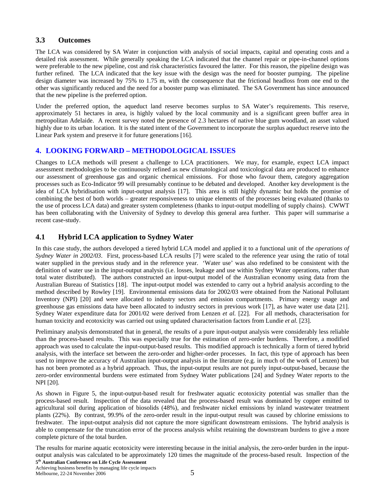#### **3.3 Outcomes**

The LCA was considered by SA Water in conjunction with analysis of social impacts, capital and operating costs and a detailed risk assessment. While generally speaking the LCA indicated that the channel repair or pipe-in-channel options were preferable to the new pipeline, cost and risk characteristics favoured the latter. For this reason, the pipeline design was further refined. The LCA indicated that the key issue with the design was the need for booster pumping. The pipeline design diameter was increased by 75% to 1.75 m, with the consequence that the frictional headloss from one end to the other was significantly reduced and the need for a booster pump was eliminated. The SA Government has since announced that the new pipeline is the preferred option.

Under the preferred option, the aqueduct land reserve becomes surplus to SA Water's requirements. This reserve, approximately 51 hectares in area, is highly valued by the local community and is a significant green buffer area in metropolitan Adelaide. A recent survey noted the presence of 2.3 hectares of native blue gum woodland, an asset valued highly due to its urban location. It is the stated intent of the Government to incorporate the surplus aqueduct reserve into the Linear Park system and preserve it for future generations [16].

#### **4. LOOKING FORWARD – METHODOLOGICAL ISSUES**

Changes to LCA methods will present a challenge to LCA practitioners. We may, for example, expect LCA impact assessment methodologies to be continuously refined as new climatological and toxicological data are produced to enhance our assessment of greenhouse gas and organic chemical emissions. For those who favour them, category aggregation processes such as Eco-Indicator 99 will presumably continue to be debated and developed. Another key development is the idea of LCA hybridisation with input-output analysis [17]. This area is still highly dynamic but holds the promise of combining the best of both worlds – greater responsiveness to unique elements of the processes being evaluated (thanks to the use of process LCA data) and greater system completeness (thanks to input-output modelling of supply chains). CWWT has been collaborating with the University of Sydney to develop this general area further. This paper will summarise a recent case-study.

#### **4.1 Hybrid LCA application to Sydney Water**

In this case study, the authors developed a tiered hybrid LCA model and applied it to a functional unit of *the operations of Sydney Water in 2002/03*. First, process-based LCA results [7] were scaled to the reference year using the ratio of total water supplied in the previous study and in the reference year. 'Water use' was also redefined to be consistent with the definition of water use in the input-output analysis (i.e. losses, leakage and use within Sydney Water operations, rather than total water distributed). The authors constructed an input-output model of the Australian economy using data from the Australian Bureau of Statistics [18]. The input-output model was extended to carry out a hybrid analysis according to the method described by Rowley [19]. Environmental emissions data for 2002/03 were obtained from the National Pollutant Inventory (NPI) [20] and were allocated to industry sectors and emission compartments. Primary energy usage and greenhouse gas emissions data have been allocated to industry sectors in previous work [17], as have water use data [21]. Sydney Water expenditure data for 2001/02 were derived from Lenzen *et al.* [22]. For all methods, characterisation for human toxicity and ecotoxicity was carried out using updated characterisation factors from Lundie *et al.* [23].

Preliminary analysis demonstrated that in general, the results of a pure input-output analysis were considerably less reliable than the process-based results. This was especially true for the estimation of zero-order burdens. Therefore, a modified approach was used to calculate the input-output-based results. This modified approach is technically a form of tiered hybrid analysis, with the interface set between the zero-order and higher-order processes. In fact, this type of approach has been used to improve the accuracy of Australian input-output analysis in the literature (e.g. in much of the work of Lenzen) but has not been promoted as a hybrid approach. Thus, the input-output results are not purely input-output-based, because the zero-order environmental burdens were estimated from Sydney Water publications [24] and Sydney Water reports to the NPI [20].

As shown in [Figure 5](#page-6-0), the input-output-based result for freshwater aquatic ecotoxicity potential was smaller than the process-based result. Inspection of the data revealed that the process-based result was dominated by copper emitted to agricultural soil during application of biosolids (48%), and freshwater nickel emissions by inland wastewater treatment plants (22%). By contrast, 99.9% of the zero-order result in the input-output result was caused by chlorine emissions to freshwater. The input-output analysis did not capture the more significant downstream emissions. The hybrid analysis is able to compensate for the truncation error of the process analysis whilst retaining the downstream burdens to give a more complete picture of the total burden.

The results for marine aquatic ecotoxicity were interesting because in the initial analysis, the zero-order burden in the inputoutput analysis was calculated to be approximately 120 times the magnitude of the process-based result. Inspection of the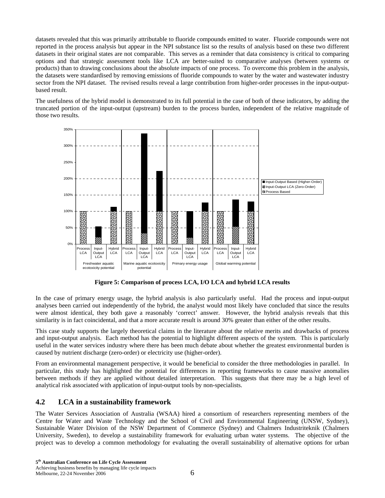datasets revealed that this was primarily attributable to fluoride compounds emitted to water. Fluoride compounds were not reported in the process analysis but appear in the NPI substance list so the results of analysis based on these two different datasets in their original states are not comparable. This serves as a reminder that data consistency is critical to comparing options and that strategic assessment tools like LCA are better-suited to comparative analyses (between systems or products) than to drawing conclusions about the absolute impacts of one process. To overcome this problem in the analysis, the datasets were standardised by removing emissions of fluoride compounds to water by the water and wastewater industry sector from the NPI dataset. The revised results reveal a large contribution from higher-order processes in the input-outputbased result.

The usefulness of the hybrid model is demonstrated to its full potential in the case of both of these indicators, by adding the truncated portion of the input-output (upstream) burden to the process burden, independent of the relative magnitude of those two results.



**Figure 5: Comparison of process LCA, I/O LCA and hybrid LCA results** 

<span id="page-6-0"></span>In the case of primary energy usage, the hybrid analysis is also particularly useful. Had the process and input-output analyses been carried out independently of the hybrid, the analyst would most likely have concluded that since the results were almost identical, they both gave a reasonably 'correct' answer. However, the hybrid analysis reveals that this similarity is in fact coincidental, and that a more accurate result is around 30% greater than either of the other results.

This case study supports the largely theoretical claims in the literature about the relative merits and drawbacks of process and input-output analysis. Each method has the potential to highlight different aspects of the system. This is particularly useful in the water services industry where there has been much debate about whether the greatest environmental burden is caused by nutrient discharge (zero-order) or electricity use (higher-order).

From an environmental management perspective, it would be beneficial to consider the three methodologies in parallel. In particular, this study has highlighted the potential for differences in reporting frameworks to cause massive anomalies between methods if they are applied without detailed interpretation. This suggests that there may be a high level of analytical risk associated with application of input-output tools by non-specialists.

#### **4.2 LCA in a sustainability framework**

The Water Services Association of Australia (WSAA) hired a consortium of researchers representing members of the Centre for Water and Waste Technology and the School of Civil and Environmental Engineering (UNSW, Sydney), Sustainable Water Division of the NSW Department of Commerce (Sydney) and Chalmers Industriteknik (Chalmers University, Sweden), to develop a sustainability framework for evaluating urban water systems. The objective of the project was to develop a common methodology for evaluating the overall sustainability of alternative options for urban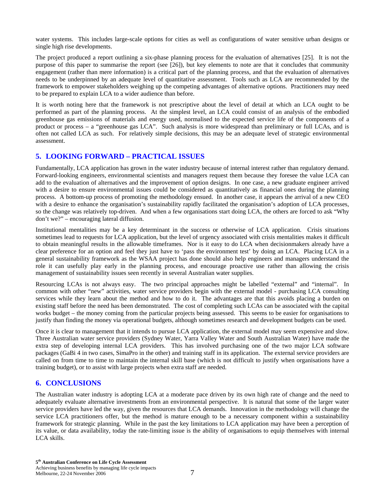water systems. This includes large-scale options for cities as well as configurations of water sensitive urban designs or single high rise developments.

The project produced a report outlining a six-phase planning process for the evaluation of alternatives [25]. It is not the purpose of this paper to summarise the report (see [26]), but key elements to note are that it concludes that community engagement (rather than mere information) is a critical part of the planning process, and that the evaluation of alternatives needs to be underpinned by an adequate level of quantitative assessment. Tools such as LCA are recommended by the framework to empower stakeholders weighing up the competing advantages of alternative options. Practitioners may need to be prepared to explain LCA to a wider audience than before.

It is worth noting here that the framework is not prescriptive about the level of detail at which an LCA ought to be performed as part of the planning process. At the simplest level, an LCA could consist of an analysis of the embodied greenhouse gas emissions of materials and energy used, normalised to the expected service life of the components of a product or process – a "greenhouse gas LCA". Such analysis is more widespread than preliminary or full LCAs, and is often not called LCA as such. For relatively simple decisions, this may be an adequate level of strategic environmental assessment.

#### **5. LOOKING FORWARD – PRACTICAL ISSUES**

Fundamentally, LCA application has grown in the water industry because of internal interest rather than regulatory demand. Forward-looking engineers, environmental scientists and managers request them because they foresee the value LCA can add to the evaluation of alternatives and the improvement of option designs. In one case, a new graduate engineer arrived with a desire to ensure environmental issues could be considered as quantitatively as financial ones during the planning process. A bottom-up process of promoting the methodology ensued. In another case, it appears the arrival of a new CEO with a desire to enhance the organisation's sustainability rapidly facilitated the organisation's adoption of LCA processes, so the change was relatively top-driven. And when a few organisations start doing LCA, the others are forced to ask "Why don't we?" – encouraging lateral diffusion.

Institutional mentalities may be a key determinant in the success or otherwise of LCA application. Crisis situations sometimes lead to requests for LCA application, but the level of urgency associated with crisis mentalities makes it difficult to obtain meaningful results in the allowable timeframes. Nor is it easy to do LCA when decisionmakers already have a clear preference for an option and feel they just have to 'pass the environment test' by doing an LCA. Placing LCA in a general sustainability framework as the WSAA project has done should also help engineers and managers understand the role it can usefully play early in the planning process, and encourage proactive use rather than allowing the crisis management of sustainability issues seen recently in several Australian water supplies.

Resourcing LCAs is not always easy. The two principal approaches might be labelled "external" and "internal". In common with other "new" activities, water service providers begin with the external model - purchasing LCA consulting services while they learn about the method and how to do it. The advantages are that this avoids placing a burden on existing staff before the need has been demonstrated. The cost of completing such LCAs can be associated with the capital works budget – the money coming from the particular projects being assessed. This seems to be easier for organisations to justify than finding the money via operational budgets, although sometimes research and development budgets can be used.

Once it is clear to management that it intends to pursue LCA application, the external model may seem expensive and slow. Three Australian water service providers (Sydney Water, Yarra Valley Water and South Australian Water) have made the extra step of developing internal LCA providers. This has involved purchasing one of the two major LCA software packages (GaBi 4 in two cases, SimaPro in the other) and training staff in its application. The external service providers are called on from time to time to maintain the internal skill base (which is not difficult to justify when organisations have a training budget), or to assist with large projects when extra staff are needed.

#### **6. CONCLUSIONS**

The Australian water industry is adopting LCA at a moderate pace driven by its own high rate of change and the need to adequately evaluate alternative investments from an environmental perspective. It is natural that some of the larger water service providers have led the way, given the resources that LCA demands. Innovation in the methodology will change the service LCA practitioners offer, but the method is mature enough to be a necessary component within a sustainability framework for strategic planning. While in the past the key limitations to LCA application may have been a perception of its value, or data availability, today the rate-limiting issue is the ability of organisations to equip themselves with internal LCA skills.